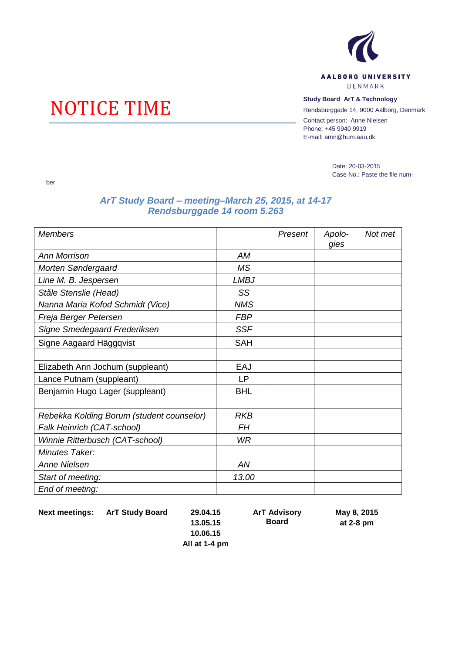

## DENMARK

## **NOTICE TIME** Study Board ArT & Technology<br>
Rendsburggade 14, 9000 Aalborg,

Rendsburggade 14, 9000 Aalborg, Denmark

Contact person: Anne Nielsen Phone: +45 9940 9919 E-mail: amn@hum.aau.dk

> Date: 20-03-2015 Case No.: Paste the file num-

## *ArT Study Board – meeting–March 25, 2015, at 14-17 Rendsburggade 14 room 5.263*

| <b>Members</b>                            |             | Present | Apolo-<br>gies | Not met |
|-------------------------------------------|-------------|---------|----------------|---------|
| <b>Ann Morrison</b>                       | AM          |         |                |         |
| Morten Søndergaard                        | MS          |         |                |         |
| Line M. B. Jespersen                      | <b>LMBJ</b> |         |                |         |
| Ståle Stenslie (Head)                     | SS          |         |                |         |
| Nanna Maria Kofod Schmidt (Vice)          | <b>NMS</b>  |         |                |         |
| Freja Berger Petersen                     | <b>FBP</b>  |         |                |         |
| Signe Smedegaard Frederiksen              | <b>SSF</b>  |         |                |         |
| Signe Aagaard Häggqvist                   | <b>SAH</b>  |         |                |         |
|                                           |             |         |                |         |
| Elizabeth Ann Jochum (suppleant)          | EAJ         |         |                |         |
| Lance Putnam (suppleant)                  | <b>LP</b>   |         |                |         |
| Benjamin Hugo Lager (suppleant)           | <b>BHL</b>  |         |                |         |
|                                           |             |         |                |         |
| Rebekka Kolding Borum (student counselor) | <b>RKB</b>  |         |                |         |
| Falk Heinrich (CAT-school)                | FH          |         |                |         |
| Winnie Ritterbusch (CAT-school)           | WR          |         |                |         |
| Minutes Taker:                            |             |         |                |         |
| <b>Anne Nielsen</b>                       | AN          |         |                |         |
| Start of meeting:                         | 13.00       |         |                |         |
| End of meeting:                           |             |         |                |         |

**Next meetings: ArT Study Board 29.04.15**

ber

**ArT Advisory Board**

**May 8, 2015 at 2-8 pm**

**13.05.15 10.06.15 All at 1-4 pm**